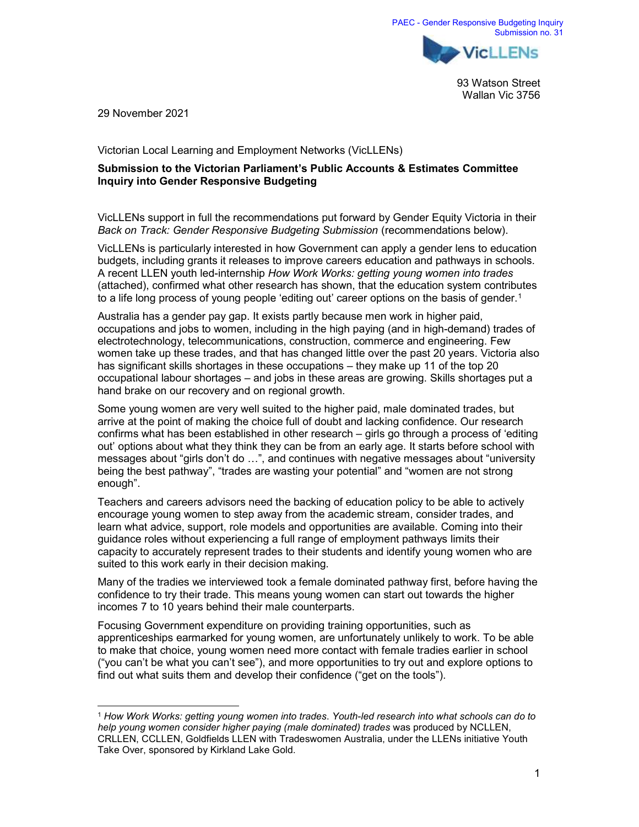93 Watson Street Wallan Vic 3756

29 November 2021

Victorian Local Learning and Employment Networks (VicLLENs)

## Submission to the Victorian Parliament's Public Accounts & Estimates Committee Inquiry into Gender Responsive Budgeting

VicLLENs support in full the recommendations put forward by Gender Equity Victoria in their Back on Track: Gender Responsive Budgeting Submission (recommendations below).

VicLLENs is particularly interested in how Government can apply a gender lens to education budgets, including grants it releases to improve careers education and pathways in schools. A recent LLEN youth led-internship How Work Works: getting young women into trades (attached), confirmed what other research has shown, that the education system contributes to a life long process of young people 'editing out' career options on the basis of gender.<sup>1</sup>

Australia has a gender pay gap. It exists partly because men work in higher paid, occupations and jobs to women, including in the high paying (and in high-demand) trades of electrotechnology, telecommunications, construction, commerce and engineering. Few women take up these trades, and that has changed little over the past 20 years. Victoria also has significant skills shortages in these occupations – they make up 11 of the top 20 occupational labour shortages – and jobs in these areas are growing. Skills shortages put a hand brake on our recovery and on regional growth.

Some young women are very well suited to the higher paid, male dominated trades, but arrive at the point of making the choice full of doubt and lacking confidence. Our research confirms what has been established in other research – girls go through a process of 'editing out' options about what they think they can be from an early age. It starts before school with messages about "girls don't do …", and continues with negative messages about "university being the best pathway", "trades are wasting your potential" and "women are not strong enough".

Teachers and careers advisors need the backing of education policy to be able to actively encourage young women to step away from the academic stream, consider trades, and learn what advice, support, role models and opportunities are available. Coming into their guidance roles without experiencing a full range of employment pathways limits their capacity to accurately represent trades to their students and identify young women who are suited to this work early in their decision making.

Many of the tradies we interviewed took a female dominated pathway first, before having the confidence to try their trade. This means young women can start out towards the higher incomes 7 to 10 years behind their male counterparts.

Focusing Government expenditure on providing training opportunities, such as apprenticeships earmarked for young women, are unfortunately unlikely to work. To be able to make that choice, young women need more contact with female tradies earlier in school ("you can't be what you can't see"), and more opportunities to try out and explore options to find out what suits them and develop their confidence ("get on the tools").

<sup>1</sup> How Work Works: getting young women into trades. Youth-led research into what schools can do to help young women consider higher paying (male dominated) trades was produced by NCLLEN, CRLLEN, CCLLEN, Goldfields LLEN with Tradeswomen Australia, under the LLENs initiative Youth Take Over, sponsored by Kirkland Lake Gold.